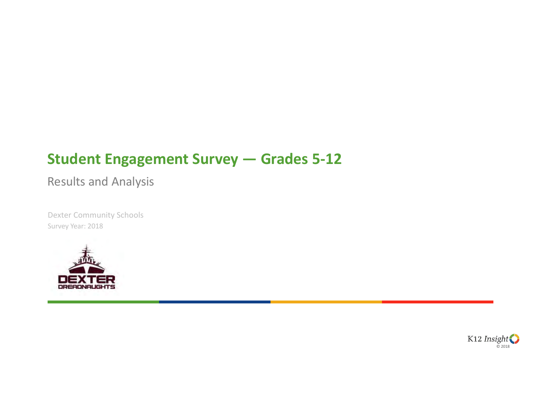## **Student Engagement Survey — Grades 5-12**

Results and Analysis

Dexter Community Schools Survey Year: 2018



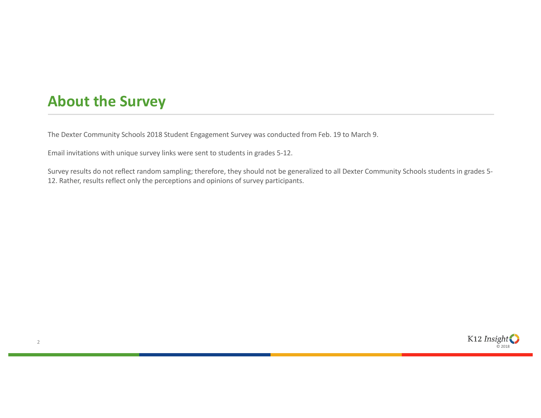### **About the Survey**

The Dexter Community Schools 2018 Student Engagement Survey was conducted from Feb. 19 to March 9.

Email invitations with unique survey links were sent to students in grades 5-12.

Survey results do not reflect random sampling; therefore, they should not be generalized to all Dexter Community Schools students in grades 5- 12. Rather, results reflect only the perceptions and opinions of survey participants.

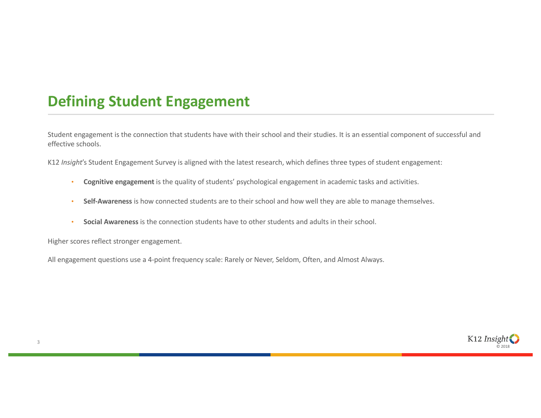## **Defining Student Engagement**

Student engagement is the connection that students have with their school and their studies. It is an essential component of successful and effective schools.

K12 *Insight*'s Student Engagement Survey is aligned with the latest research, which defines three types of student engagement:

- **Cognitive engagement** is the quality of students' psychological engagement in academic tasks and activities.
- **Self-Awareness** is how connected students are to their school and how well they are able to manage themselves.
- **Social Awareness** is the connection students have to other students and adults in their school.

Higher scores reflect stronger engagement.

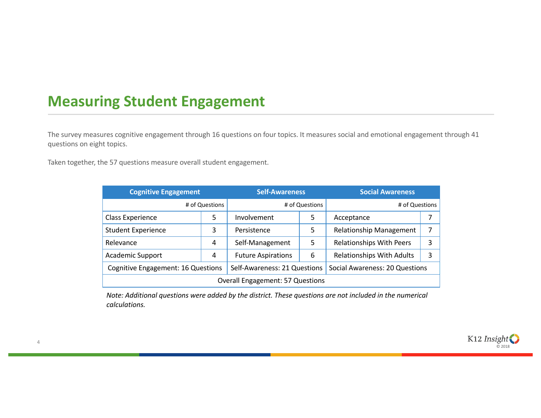### **Measuring Student Engagement**

The survey measures cognitive engagement through 16 questions on four topics. It measures social and emotional engagement through 41 questions on eight topics.

Taken together, the 57 questions measure overall student engagement.

4

| <b>Cognitive Engagement</b>             |   | <b>Self-Awareness</b>        |   | <b>Social Awareness</b>          |   |  |  |
|-----------------------------------------|---|------------------------------|---|----------------------------------|---|--|--|
| # of Questions                          |   | # of Questions               |   | # of Questions                   |   |  |  |
| Class Experience                        | 5 | Involvement                  | 5 | Acceptance                       | 7 |  |  |
| <b>Student Experience</b>               | 3 | Persistence                  | 5 | <b>Relationship Management</b>   |   |  |  |
| Relevance                               | 4 | Self-Management              | 5 | <b>Relationships With Peers</b>  | 3 |  |  |
| <b>Academic Support</b>                 | 4 | <b>Future Aspirations</b>    | 6 | <b>Relationships With Adults</b> | 3 |  |  |
| Cognitive Engagement: 16 Questions      |   | Self-Awareness: 21 Questions |   | Social Awareness: 20 Questions   |   |  |  |
| <b>Overall Engagement: 57 Questions</b> |   |                              |   |                                  |   |  |  |

*Note: Additional questions were added by the district. These questions are not included in the numerical calculations.*

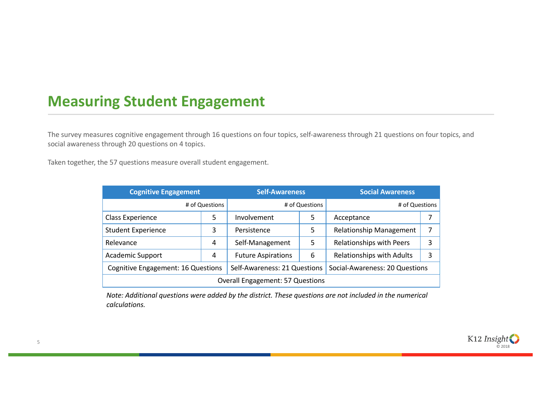### **Measuring Student Engagement**

The survey measures cognitive engagement through 16 questions on four topics, self-awareness through 21 questions on four topics, and social awareness through 20 questions on 4 topics.

Taken together, the 57 questions measure overall student engagement.

| <b>Cognitive Engagement</b>             |   | <b>Self-Awareness</b>        |   | <b>Social Awareness</b>          |   |  |  |
|-----------------------------------------|---|------------------------------|---|----------------------------------|---|--|--|
| # of Questions                          |   | # of Questions               |   | # of Questions                   |   |  |  |
| Class Experience                        | 5 | Involvement                  | 5 | Acceptance                       |   |  |  |
| <b>Student Experience</b>               | 3 | Persistence                  | 5 | <b>Relationship Management</b>   |   |  |  |
| Relevance                               | 4 | Self-Management              | 5 | Relationships with Peers         | 3 |  |  |
| <b>Academic Support</b>                 | 4 | <b>Future Aspirations</b>    | 6 | <b>Relationships with Adults</b> | 3 |  |  |
| Cognitive Engagement: 16 Questions      |   | Self-Awareness: 21 Questions |   | Social-Awareness: 20 Questions   |   |  |  |
| <b>Overall Engagement: 57 Questions</b> |   |                              |   |                                  |   |  |  |

*Note: Additional questions were added by the district. These questions are not included in the numerical calculations.*

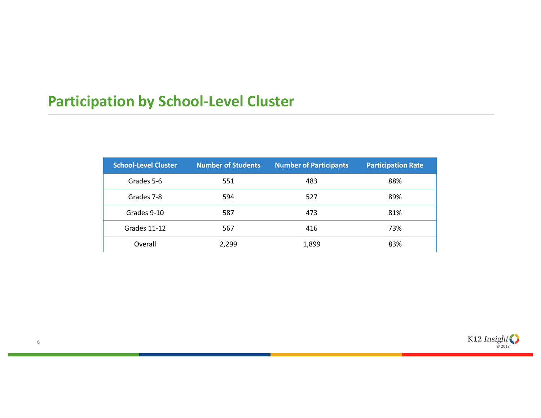# **Participation by School-Level Cluster**

| <b>School-Level Cluster</b> | <b>Number of Students</b> | <b>Number of Participants</b> | <b>Participation Rate</b> |
|-----------------------------|---------------------------|-------------------------------|---------------------------|
| Grades 5-6                  | 551                       | 483                           | 88%                       |
| Grades 7-8                  | 594                       | 527                           | 89%                       |
| Grades 9-10                 | 587                       | 473                           | 81%                       |
| Grades 11-12                | 567                       | 416                           | 73%                       |
| Overall                     | 2,299                     | 1,899                         | 83%                       |

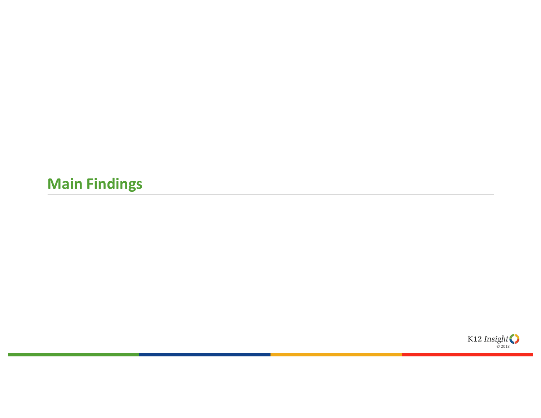# **Main Findings**

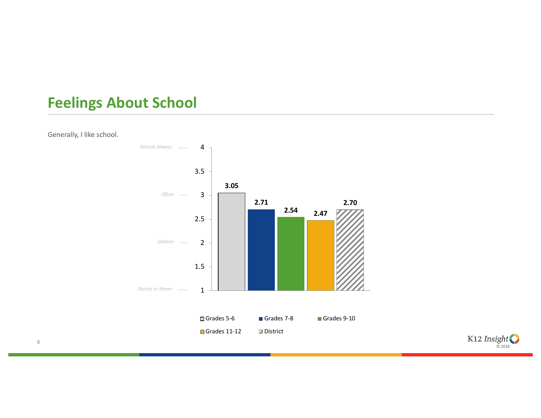### **Feelings About School**

Generally, I like school.





8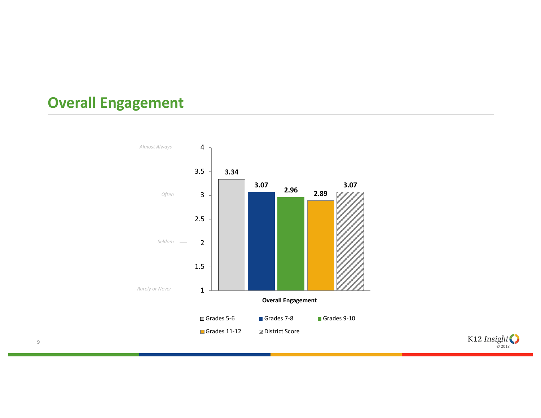### **Overall Engagement**





9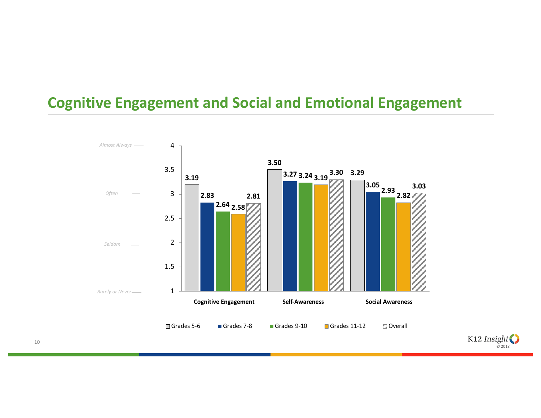### **Cognitive Engagement and Social and Emotional Engagement**



K12  $\text{Insight}$ 

10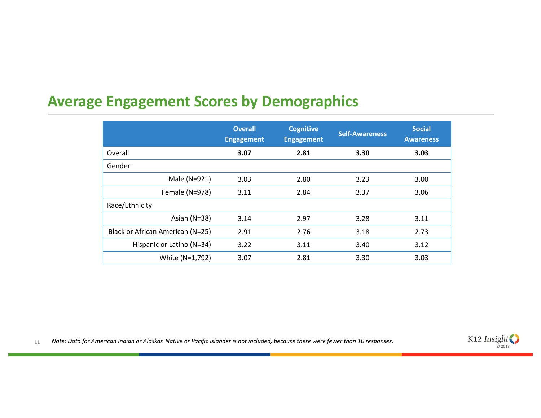### **Average Engagement Scores by Demographics**

|                                  | <b>Overall</b><br><b>Engagement</b> | <b>Cognitive</b><br><b>Engagement</b> | <b>Self-Awareness</b> | <b>Social</b><br><b>Awareness</b> |
|----------------------------------|-------------------------------------|---------------------------------------|-----------------------|-----------------------------------|
| Overall                          | 3.07                                | 2.81                                  | 3.30                  | 3.03                              |
| Gender                           |                                     |                                       |                       |                                   |
| Male (N=921)                     | 3.03                                | 2.80                                  | 3.23                  | 3.00                              |
| Female (N=978)                   | 3.11                                | 2.84                                  | 3.37                  | 3.06                              |
| Race/Ethnicity                   |                                     |                                       |                       |                                   |
| Asian ( $N=38$ )                 | 3.14                                | 2.97                                  | 3.28                  | 3.11                              |
| Black or African American (N=25) | 2.91                                | 2.76                                  | 3.18                  | 2.73                              |
| Hispanic or Latino (N=34)        | 3.22                                | 3.11                                  | 3.40                  | 3.12                              |
| White (N=1,792)                  | 3.07                                | 2.81                                  | 3.30                  | 3.03                              |

11 *Note: Data for American Indian or Alaskan Native or Pacific Islander is not included, because there were fewer than 10 responses.* 

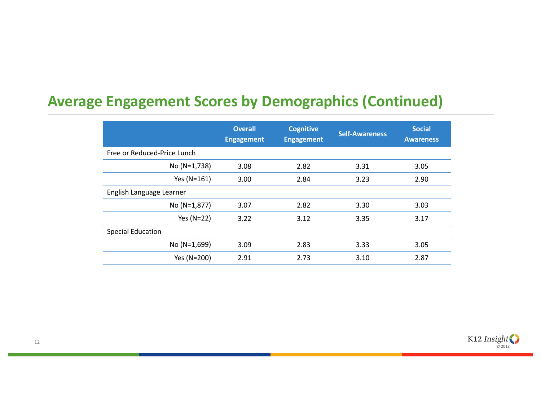## **Average Engagement Scores by Demographics (Continued)**

|                             | <b>Overall</b><br><b>Engagement</b> | <b>Cognitive</b><br><b>Engagement</b> | <b>Self-Awareness</b> | <b>Social</b><br><b>Awareness</b> |
|-----------------------------|-------------------------------------|---------------------------------------|-----------------------|-----------------------------------|
| Free or Reduced-Price Lunch |                                     |                                       |                       |                                   |
| No (N=1,738)                | 3.08                                | 2.82                                  | 3.31                  | 3.05                              |
| Yes (N=161)                 | 3.00                                | 2.84                                  | 3.23                  | 2.90                              |
| English Language Learner    |                                     |                                       |                       |                                   |
| No (N=1,877)                | 3.07                                | 2.82                                  | 3.30                  | 3.03                              |
| Yes $(N=22)$                | 3.22                                | 3.12                                  | 3.35                  | 3.17                              |
| <b>Special Education</b>    |                                     |                                       |                       |                                   |
| No (N=1,699)                | 3.09                                | 2.83                                  | 3.33                  | 3.05                              |
| Yes (N=200)                 | 2.91                                | 2.73                                  | 3.10                  | 2.87                              |

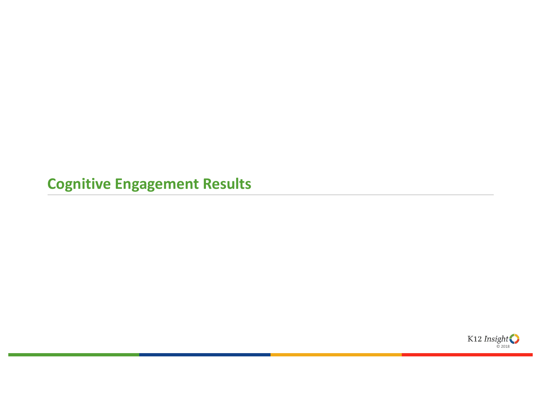**Cognitive Engagement Results** 

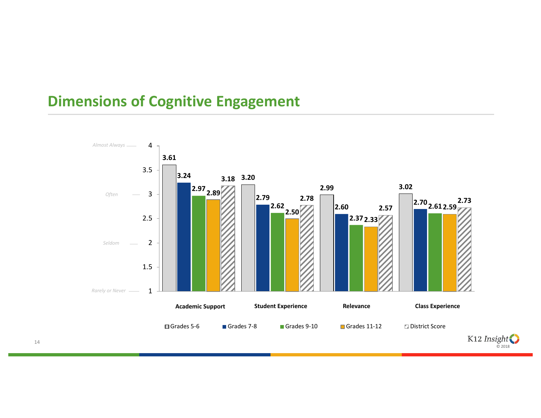## **Dimensions of Cognitive Engagement**

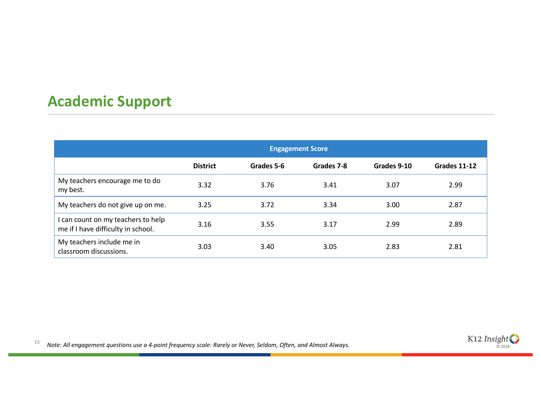## **Academic Support**

|                                                                          | <b>Engagement Score</b> |            |            |             |              |
|--------------------------------------------------------------------------|-------------------------|------------|------------|-------------|--------------|
|                                                                          | <b>District</b>         | Grades 5-6 | Grades 7-8 | Grades 9-10 | Grades 11-12 |
| My teachers encourage me to do<br>my best.                               | 3.32                    | 3.76       | 3.41       | 3.07        | 2.99         |
| My teachers do not give up on me.                                        | 3.25                    | 3.72       | 3.34       | 3.00        | 2.87         |
| I can count on my teachers to help<br>me if I have difficulty in school. | 3.16                    | 3.55       | 3.17       | 2.99        | 2.89         |
| My teachers include me in<br>classroom discussions.                      | 3.03                    | 3.40       | 3.05       | 2.83        | 2.81         |

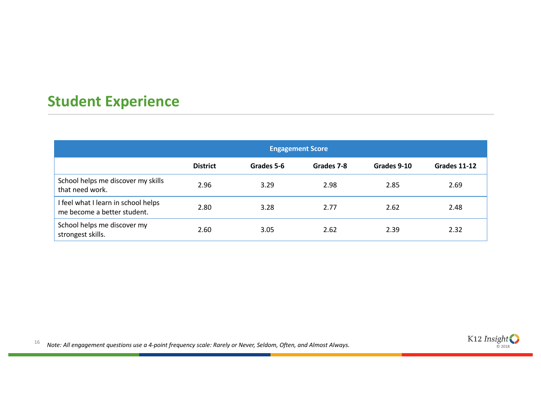## **Student Experience**

|                                                                    | <b>Engagement Score</b> |            |            |             |                     |
|--------------------------------------------------------------------|-------------------------|------------|------------|-------------|---------------------|
|                                                                    | <b>District</b>         | Grades 5-6 | Grades 7-8 | Grades 9-10 | <b>Grades 11-12</b> |
| School helps me discover my skills<br>that need work.              | 2.96                    | 3.29       | 2.98       | 2.85        | 2.69                |
| I feel what I learn in school helps<br>me become a better student. | 2.80                    | 3.28       | 2.77       | 2.62        | 2.48                |
| School helps me discover my<br>strongest skills.                   | 2.60                    | 3.05       | 2.62       | 2.39        | 2.32                |

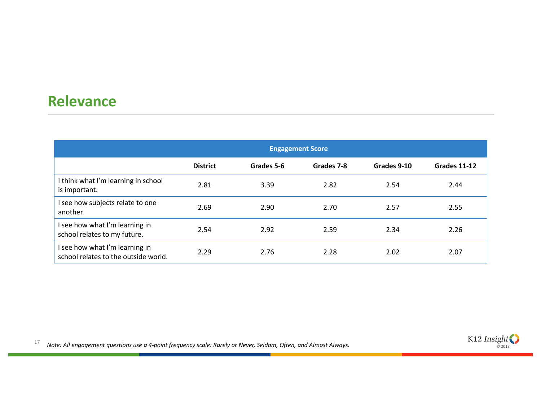#### **Relevance**

|                                                                        | <b>Engagement Score</b> |            |            |             |              |
|------------------------------------------------------------------------|-------------------------|------------|------------|-------------|--------------|
|                                                                        | <b>District</b>         | Grades 5-6 | Grades 7-8 | Grades 9-10 | Grades 11-12 |
| I think what I'm learning in school<br>is important.                   | 2.81                    | 3.39       | 2.82       | 2.54        | 2.44         |
| I see how subjects relate to one<br>another.                           | 2.69                    | 2.90       | 2.70       | 2.57        | 2.55         |
| I see how what I'm learning in<br>school relates to my future.         | 2.54                    | 2.92       | 2.59       | 2.34        | 2.26         |
| I see how what I'm learning in<br>school relates to the outside world. | 2.29                    | 2.76       | 2.28       | 2.02        | 2.07         |

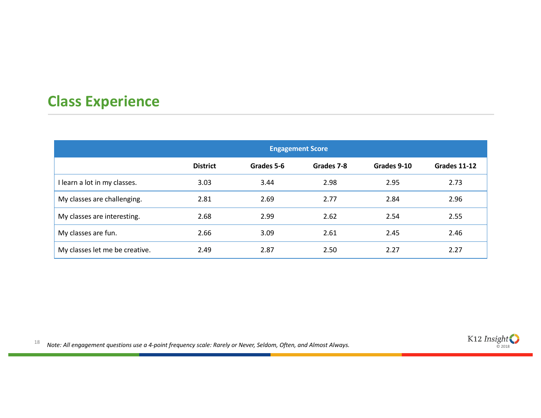## **Class Experience**

|                                | <b>Engagement Score</b> |            |            |             |              |
|--------------------------------|-------------------------|------------|------------|-------------|--------------|
|                                | <b>District</b>         | Grades 5-6 | Grades 7-8 | Grades 9-10 | Grades 11-12 |
| I learn a lot in my classes.   | 3.03                    | 3.44       | 2.98       | 2.95        | 2.73         |
| My classes are challenging.    | 2.81                    | 2.69       | 2.77       | 2.84        | 2.96         |
| My classes are interesting.    | 2.68                    | 2.99       | 2.62       | 2.54        | 2.55         |
| My classes are fun.            | 2.66                    | 3.09       | 2.61       | 2.45        | 2.46         |
| My classes let me be creative. | 2.49                    | 2.87       | 2.50       | 2.27        | 2.27         |

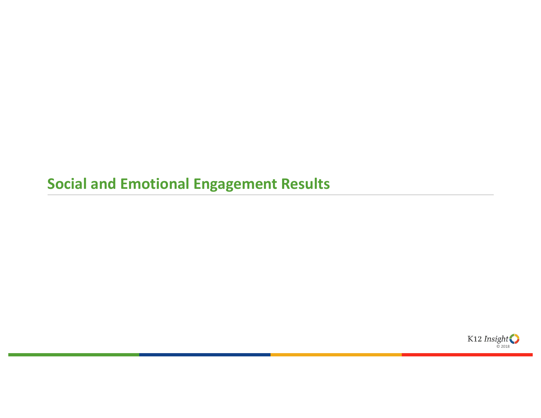# **Social and Emotional Engagement Results**

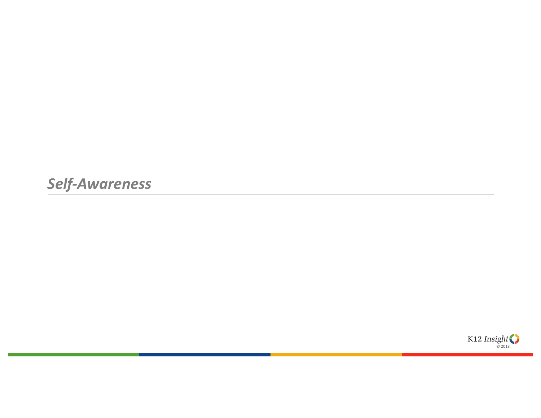*Self-Awareness*

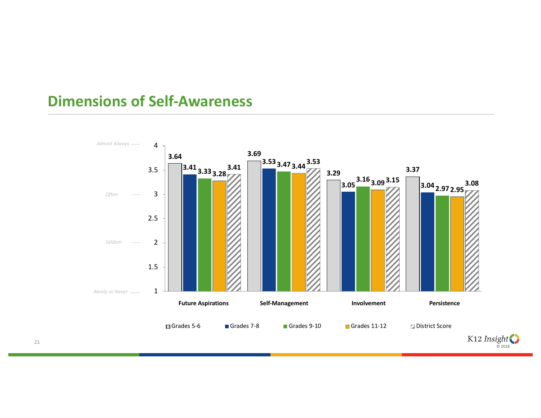#### **Dimensions of Self-Awareness**

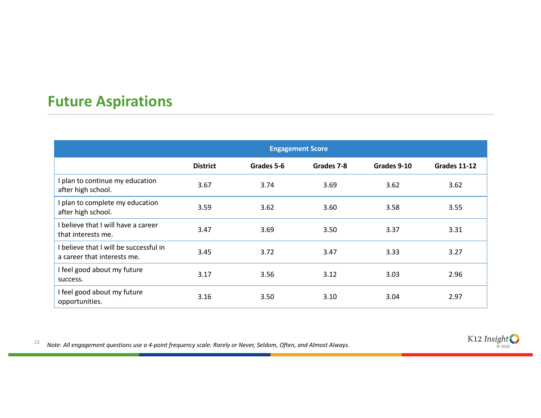## **Future Aspirations**

|                                                                       | <b>Engagement Score</b> |            |            |             |              |
|-----------------------------------------------------------------------|-------------------------|------------|------------|-------------|--------------|
|                                                                       | <b>District</b>         | Grades 5-6 | Grades 7-8 | Grades 9-10 | Grades 11-12 |
| I plan to continue my education<br>after high school.                 | 3.67                    | 3.74       | 3.69       | 3.62        | 3.62         |
| I plan to complete my education<br>after high school.                 | 3.59                    | 3.62       | 3.60       | 3.58        | 3.55         |
| I believe that I will have a career<br>that interests me.             | 3.47                    | 3.69       | 3.50       | 3.37        | 3.31         |
| I believe that I will be successful in<br>a career that interests me. | 3.45                    | 3.72       | 3.47       | 3.33        | 3.27         |
| I feel good about my future<br>success.                               | 3.17                    | 3.56       | 3.12       | 3.03        | 2.96         |
| I feel good about my future<br>opportunities.                         | 3.16                    | 3.50       | 3.10       | 3.04        | 2.97         |

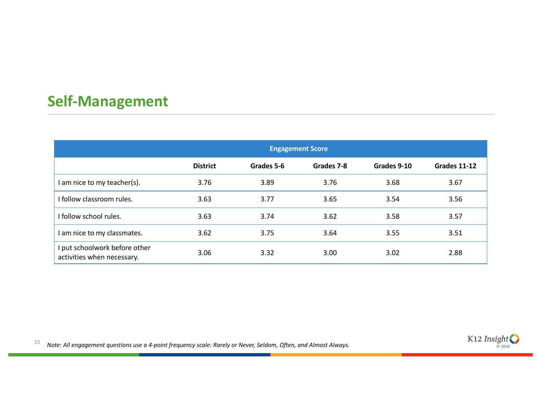## **Self-Management**

|                                                             | <b>Engagement Score</b> |            |            |             |              |
|-------------------------------------------------------------|-------------------------|------------|------------|-------------|--------------|
|                                                             | <b>District</b>         | Grades 5-6 | Grades 7-8 | Grades 9-10 | Grades 11-12 |
| I am nice to my teacher(s).                                 | 3.76                    | 3.89       | 3.76       | 3.68        | 3.67         |
| I follow classroom rules.                                   | 3.63                    | 3.77       | 3.65       | 3.54        | 3.56         |
| I follow school rules.                                      | 3.63                    | 3.74       | 3.62       | 3.58        | 3.57         |
| I am nice to my classmates.                                 | 3.62                    | 3.75       | 3.64       | 3.55        | 3.51         |
| I put schoolwork before other<br>activities when necessary. | 3.06                    | 3.32       | 3.00       | 3.02        | 2.88         |

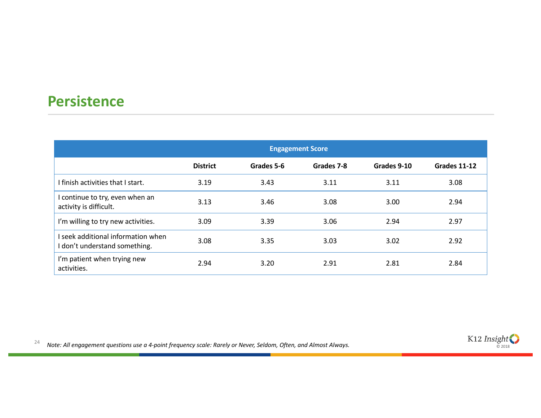#### **Persistence**

|                                                                     | <b>Engagement Score</b> |            |            |             |              |
|---------------------------------------------------------------------|-------------------------|------------|------------|-------------|--------------|
|                                                                     | <b>District</b>         | Grades 5-6 | Grades 7-8 | Grades 9-10 | Grades 11-12 |
| I finish activities that I start.                                   | 3.19                    | 3.43       | 3.11       | 3.11        | 3.08         |
| I continue to try, even when an<br>activity is difficult.           | 3.13                    | 3.46       | 3.08       | 3.00        | 2.94         |
| I'm willing to try new activities.                                  | 3.09                    | 3.39       | 3.06       | 2.94        | 2.97         |
| I seek additional information when<br>I don't understand something. | 3.08                    | 3.35       | 3.03       | 3.02        | 2.92         |
| I'm patient when trying new<br>activities.                          | 2.94                    | 3.20       | 2.91       | 2.81        | 2.84         |

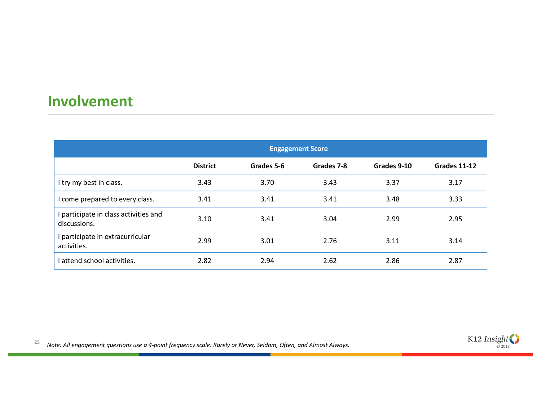### **Involvement**

|                                                       | <b>Engagement Score</b> |            |            |             |              |
|-------------------------------------------------------|-------------------------|------------|------------|-------------|--------------|
|                                                       | <b>District</b>         | Grades 5-6 | Grades 7-8 | Grades 9-10 | Grades 11-12 |
| I try my best in class.                               | 3.43                    | 3.70       | 3.43       | 3.37        | 3.17         |
| I come prepared to every class.                       | 3.41                    | 3.41       | 3.41       | 3.48        | 3.33         |
| I participate in class activities and<br>discussions. | 3.10                    | 3.41       | 3.04       | 2.99        | 2.95         |
| I participate in extracurricular<br>activities.       | 2.99                    | 3.01       | 2.76       | 3.11        | 3.14         |
| I attend school activities.                           | 2.82                    | 2.94       | 2.62       | 2.86        | 2.87         |

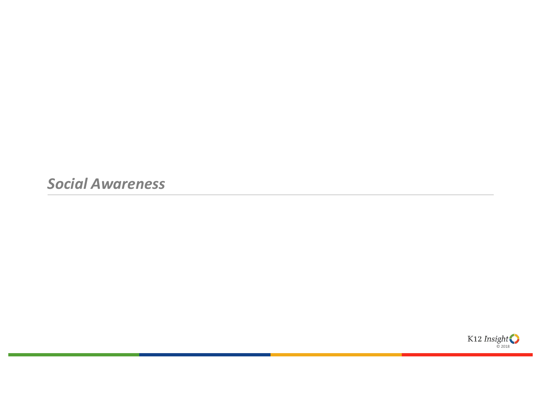*Social Awareness*

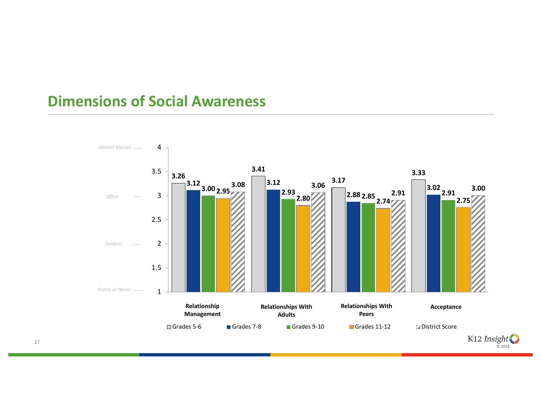#### **Dimensions of Social Awareness**

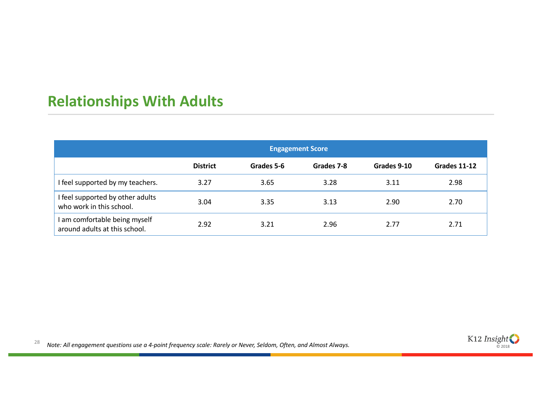# **Relationships With Adults**

|                                                                | <b>Engagement Score</b> |            |            |             |                     |
|----------------------------------------------------------------|-------------------------|------------|------------|-------------|---------------------|
|                                                                | <b>District</b>         | Grades 5-6 | Grades 7-8 | Grades 9-10 | <b>Grades 11-12</b> |
| I feel supported by my teachers.                               | 3.27                    | 3.65       | 3.28       | 3.11        | 2.98                |
| I feel supported by other adults<br>who work in this school.   | 3.04                    | 3.35       | 3.13       | 2.90        | 2.70                |
| I am comfortable being myself<br>around adults at this school. | 2.92                    | 3.21       | 2.96       | 2.77        | 2.71                |

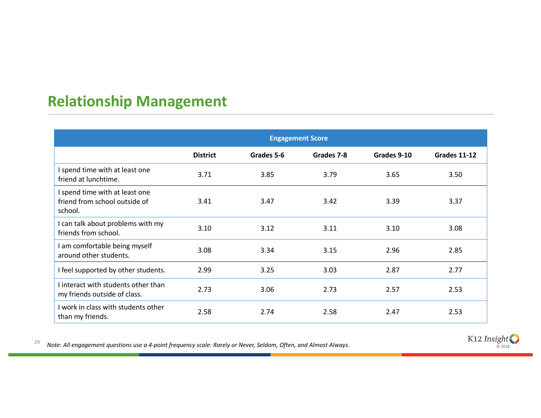## **Relationship Management**

|                                                                            | <b>Engagement Score</b> |            |            |             |              |
|----------------------------------------------------------------------------|-------------------------|------------|------------|-------------|--------------|
|                                                                            | <b>District</b>         | Grades 5-6 | Grades 7-8 | Grades 9-10 | Grades 11-12 |
| I spend time with at least one<br>friend at lunchtime.                     | 3.71                    | 3.85       | 3.79       | 3.65        | 3.50         |
| I spend time with at least one<br>friend from school outside of<br>school. | 3.41                    | 3.47       | 3.42       | 3.39        | 3.37         |
| I can talk about problems with my<br>friends from school.                  | 3.10                    | 3.12       | 3.11       | 3.10        | 3.08         |
| I am comfortable being myself<br>around other students.                    | 3.08                    | 3.34       | 3.15       | 2.96        | 2.85         |
| I feel supported by other students.                                        | 2.99                    | 3.25       | 3.03       | 2.87        | 2.77         |
| I interact with students other than<br>my friends outside of class.        | 2.73                    | 3.06       | 2.73       | 2.57        | 2.53         |
| I work in class with students other<br>than my friends.                    | 2.58                    | 2.74       | 2.58       | 2.47        | 2.53         |

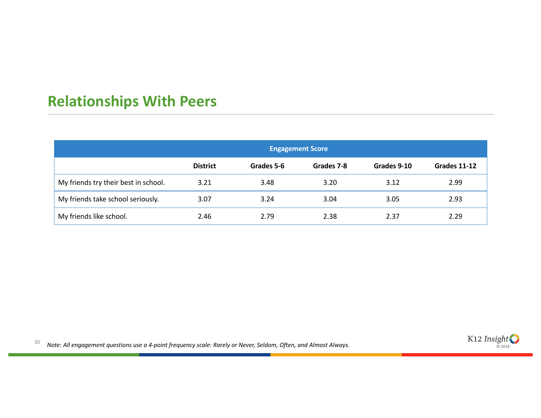# **Relationships With Peers**

|                                      | <b>Engagement Score</b> |            |            |             |              |
|--------------------------------------|-------------------------|------------|------------|-------------|--------------|
|                                      | <b>District</b>         | Grades 5-6 | Grades 7-8 | Grades 9-10 | Grades 11-12 |
| My friends try their best in school. | 3.21                    | 3.48       | 3.20       | 3.12        | 2.99         |
| My friends take school seriously.    | 3.07                    | 3.24       | 3.04       | 3.05        | 2.93         |
| My friends like school.              | 2.46                    | 2.79       | 2.38       | 2.37        | 2.29         |

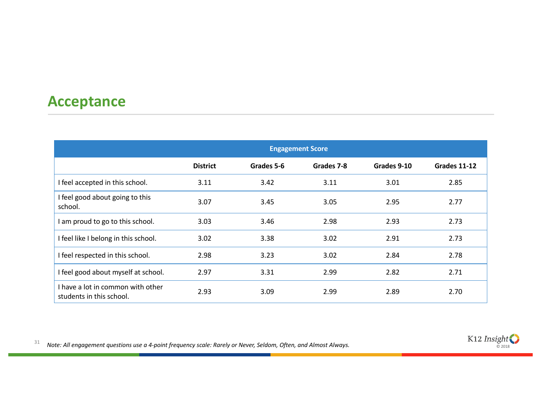#### **Acceptance**

|                                                               | <b>Engagement Score</b> |            |            |             |              |
|---------------------------------------------------------------|-------------------------|------------|------------|-------------|--------------|
|                                                               | <b>District</b>         | Grades 5-6 | Grades 7-8 | Grades 9-10 | Grades 11-12 |
| I feel accepted in this school.                               | 3.11                    | 3.42       | 3.11       | 3.01        | 2.85         |
| I feel good about going to this<br>school.                    | 3.07                    | 3.45       | 3.05       | 2.95        | 2.77         |
| I am proud to go to this school.                              | 3.03                    | 3.46       | 2.98       | 2.93        | 2.73         |
| I feel like I belong in this school.                          | 3.02                    | 3.38       | 3.02       | 2.91        | 2.73         |
| I feel respected in this school.                              | 2.98                    | 3.23       | 3.02       | 2.84        | 2.78         |
| I feel good about myself at school.                           | 2.97                    | 3.31       | 2.99       | 2.82        | 2.71         |
| I have a lot in common with other<br>students in this school. | 2.93                    | 3.09       | 2.99       | 2.89        | 2.70         |

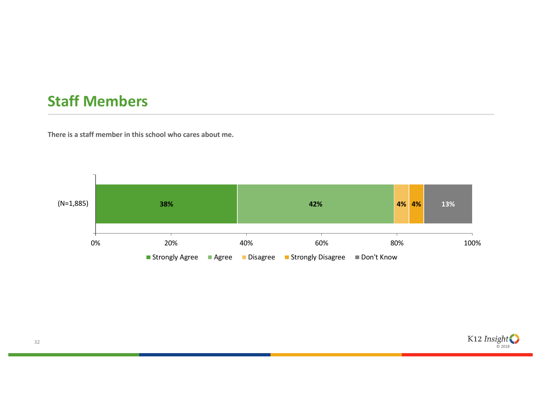### **Staff Members**

**There is a staff member in this school who cares about me.**



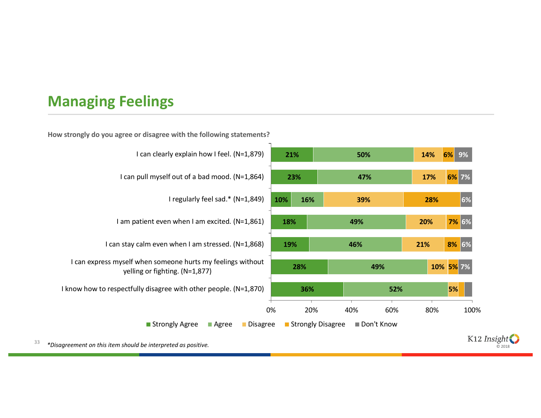## **Managing Feelings**



**How strongly do you agree or disagree with the following statements?**



33 *\*Disagreement on this item should be interpreted as positive.*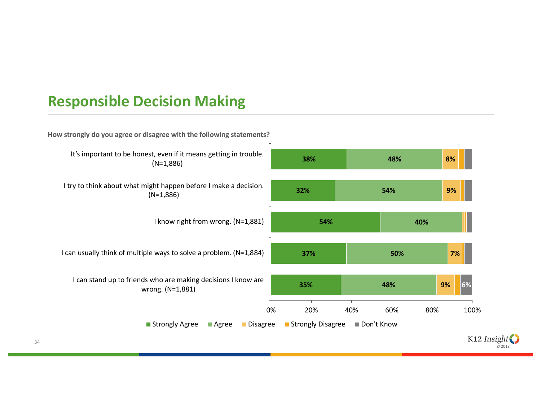### **Responsible Decision Making**

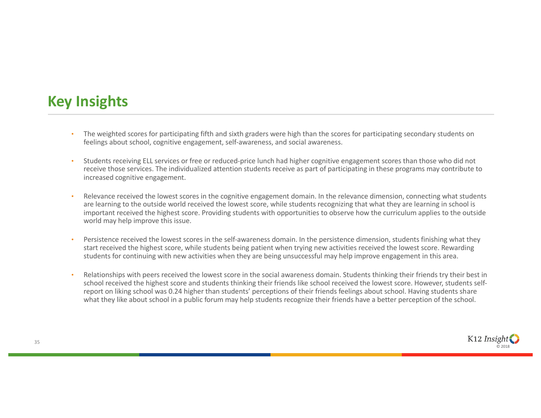### **Key Insights**

- The weighted scores for participating fifth and sixth graders were high than the scores for participating secondary students on feelings about school, cognitive engagement, self-awareness, and social awareness.
- Students receiving ELL services or free or reduced-price lunch had higher cognitive engagement scores than those who did not receive those services. The individualized attention students receive as part of participating in these programs may contribute to increased cognitive engagement.
- Relevance received the lowest scores in the cognitive engagement domain. In the relevance dimension, connecting what students are learning to the outside world received the lowest score, while students recognizing that what they are learning in school is important received the highest score. Providing students with opportunities to observe how the curriculum applies to the outside world may help improve this issue.
- Persistence received the lowest scores in the self-awareness domain. In the persistence dimension, students finishing what they start received the highest score, while students being patient when trying new activities received the lowest score. Rewarding students for continuing with new activities when they are being unsuccessful may help improve engagement in this area.
- Relationships with peers received the lowest score in the social awareness domain. Students thinking their friends try their best in school received the highest score and students thinking their friends like school received the lowest score. However, students selfreport on liking school was 0.24 higher than students' perceptions of their friends feelings about school. Having students share what they like about school in a public forum may help students recognize their friends have a better perception of the school.